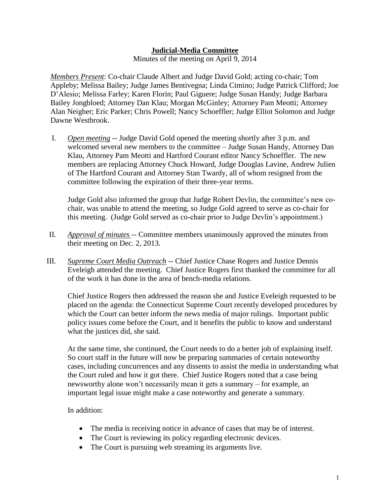## **Judicial-Media Committee**

Minutes of the meeting on April 9, 2014

*Members Present*: Co-chair Claude Albert and Judge David Gold; acting co-chair; Tom Appleby; Melissa Bailey; Judge James Bentivegna; Linda Cimino; Judge Patrick Clifford; Joe D'Alesio; Melissa Farley; Karen Florin; Paul Giguere; Judge Susan Handy; Judge Barbara Bailey Jongbloed; Attorney Dan Klau; Morgan McGinley; Attorney Pam Meotti; Attorney Alan Neigher; Eric Parker; Chris Powell; Nancy Schoeffler; Judge Elliot Solomon and Judge Dawne Westbrook.

I. *Open meeting* -- Judge David Gold opened the meeting shortly after 3 p.m. and welcomed several new members to the committee – Judge Susan Handy, Attorney Dan Klau, Attorney Pam Meotti and Hartford Courant editor Nancy Schoeffler. The new members are replacing Attorney Chuck Howard, Judge Douglas Lavine, Andrew Julien of The Hartford Courant and Attorney Stan Twardy, all of whom resigned from the committee following the expiration of their three-year terms.

Judge Gold also informed the group that Judge Robert Devlin, the committee's new cochair, was unable to attend the meeting, so Judge Gold agreed to serve as co-chair for this meeting. (Judge Gold served as co-chair prior to Judge Devlin's appointment.)

- II. *Approval of minutes* -- Committee members unanimously approved the minutes from their meeting on Dec. 2, 2013.
- III. *Supreme Court Media Outreach* -- Chief Justice Chase Rogers and Justice Dennis Eveleigh attended the meeting. Chief Justice Rogers first thanked the committee for all of the work it has done in the area of bench-media relations.

Chief Justice Rogers then addressed the reason she and Justice Eveleigh requested to be placed on the agenda: the Connecticut Supreme Court recently developed procedures by which the Court can better inform the news media of major rulings. Important public policy issues come before the Court, and it benefits the public to know and understand what the justices did, she said.

At the same time, she continued, the Court needs to do a better job of explaining itself. So court staff in the future will now be preparing summaries of certain noteworthy cases, including concurrences and any dissents to assist the media in understanding what the Court ruled and how it got there. Chief Justice Rogers noted that a case being newsworthy alone won't necessarily mean it gets a summary – for example, an important legal issue might make a case noteworthy and generate a summary.

## In addition:

- The media is receiving notice in advance of cases that may be of interest.
- The Court is reviewing its policy regarding electronic devices.
- The Court is pursuing web streaming its arguments live.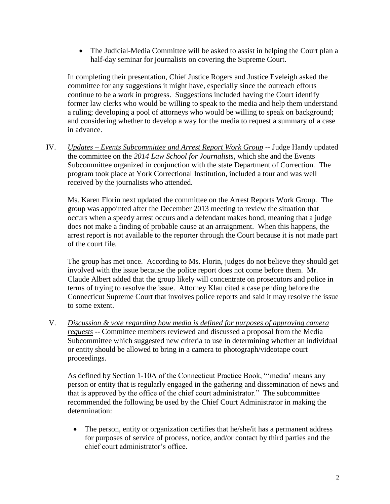The Judicial-Media Committee will be asked to assist in helping the Court plan a half-day seminar for journalists on covering the Supreme Court.

In completing their presentation, Chief Justice Rogers and Justice Eveleigh asked the committee for any suggestions it might have, especially since the outreach efforts continue to be a work in progress. Suggestions included having the Court identify former law clerks who would be willing to speak to the media and help them understand a ruling; developing a pool of attorneys who would be willing to speak on background; and considering whether to develop a way for the media to request a summary of a case in advance.

IV. *Updates – Events Subcommittee and Arrest Report Work Group* -- Judge Handy updated the committee on the *2014 Law School for Journalists*, which she and the Events Subcommittee organized in conjunction with the state Department of Correction. The program took place at York Correctional Institution, included a tour and was well received by the journalists who attended.

Ms. Karen Florin next updated the committee on the Arrest Reports Work Group. The group was appointed after the December 2013 meeting to review the situation that occurs when a speedy arrest occurs and a defendant makes bond, meaning that a judge does not make a finding of probable cause at an arraignment. When this happens, the arrest report is not available to the reporter through the Court because it is not made part of the court file.

The group has met once. According to Ms. Florin, judges do not believe they should get involved with the issue because the police report does not come before them. Mr. Claude Albert added that the group likely will concentrate on prosecutors and police in terms of trying to resolve the issue. Attorney Klau cited a case pending before the Connecticut Supreme Court that involves police reports and said it may resolve the issue to some extent.

V. *Discussion & vote regarding how media is defined for purposes of approving camera requests* -- Committee members reviewed and discussed a proposal from the Media Subcommittee which suggested new criteria to use in determining whether an individual or entity should be allowed to bring in a camera to photograph/videotape court proceedings.

As defined by Section 1-10A of the Connecticut Practice Book, "'media' means any person or entity that is regularly engaged in the gathering and dissemination of news and that is approved by the office of the chief court administrator." The subcommittee recommended the following be used by the Chief Court Administrator in making the determination:

• The person, entity or organization certifies that he/she/it has a permanent address for purposes of service of process, notice, and/or contact by third parties and the chief court administrator's office.